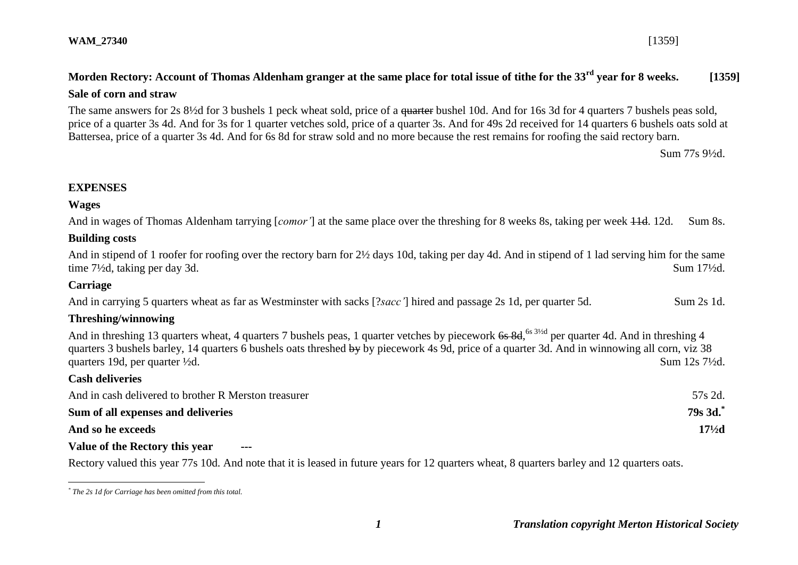The same answers for 2s 8½d for 3 bushels 1 peck wheat sold, price of a quarter bushel 10d. And for 16s 3d for 4 quarters 7 bushels peas sold, price of a quarter 3s 4d. And for 3s for 1 quarter vetches sold, price of a quarter 3s. And for 49s 2d received for 14 quarters 6 bushels oats sold at Battersea, price of a quarter 3s 4d. And for 6s 8d for straw sold and no more because the rest remains for roofing the said rectory barn.

Sum 77s 9½d.

## **EXPENSES**

### **Wages**

And in wages of Thomas Aldenham tarrying [*comor'*] at the same place over the threshing for 8 weeks 8s, taking per week 11d. 12d. Sum 8s.

### **Building costs**

And in stipend of 1 roofer for roofing over the rectory barn for 2½ days 10d, taking per day 4d. And in stipend of 1 lad serving him for the same time 7½d, taking per day 3d. Sum 17½d.

## **Carriage**

<u>.</u>

And in carrying 5 quarters wheat as far as Westminster with sacks [?*sacc*'] hired and passage 2s 1d, per quarter 5d. Sum 2s 1d.

### **Threshing/winnowing**

And in threshing 13 quarters wheat, 4 quarters 7 bushels peas, 1 quarter vetches by piecework 6s 8d, <sup>6s 31/2d</sup> per quarter 4d. And in threshing 4 quarters 3 bushels barley, 14 quarters 6 bushels oats threshed by by piecework 4s 9d, price of a quarter 3d. And in winnowing all corn, viz 38 quarters 19d, per quarter  $\frac{1}{2}d$ . Sum 12s 7 $\frac{1}{2}d$ . **Cash deliveries**

| And in cash delivered to brother R Merston treasurer | 57s 2d.           |
|------------------------------------------------------|-------------------|
| Sum of all expenses and deliveries                   | $79s$ 3d.         |
| And so he exceeds                                    | $17\frac{1}{2}$ d |
|                                                      |                   |

### **Value of the Rectory this year**

Rectory valued this year 77s 10d. And note that it is leased in future years for 12 quarters wheat, 8 quarters barley and 12 quarters oats.

*<sup>\*</sup> The 2s 1d for Carriage has been omitted from this total.*